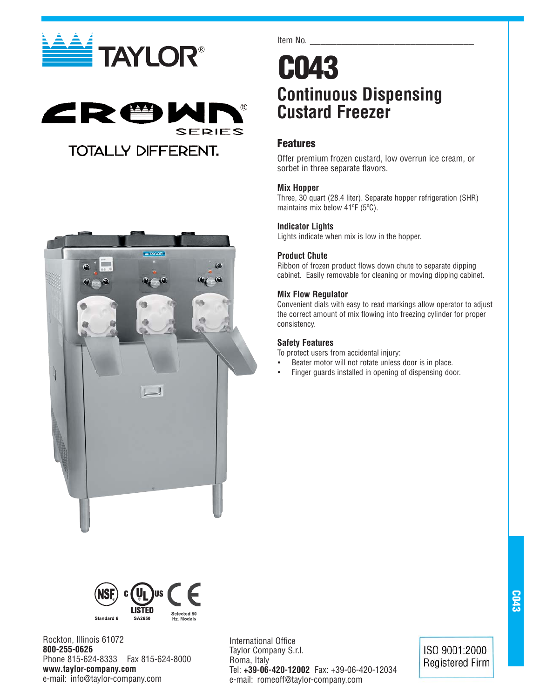





## **Continuous Dispensing Custard Freezer**

## **Features**

Item No.

Offer premium frozen custard, low overrun ice cream, or sorbet in three separate flavors.

## **Mix Hopper**

Three, 30 quart (28.4 liter). Separate hopper refrigeration (SHR) maintains mix below 41ºF (5ºC).

## **Indicator Lights**

Lights indicate when mix is low in the hopper.

## **Product Chute**

Ribbon of frozen product flows down chute to separate dipping cabinet. Easily removable for cleaning or moving dipping cabinet.

## **Mix Flow Regulator**

Convenient dials with easy to read markings allow operator to adjust the correct amount of mix flowing into freezing cylinder for proper consistency.

## **Safety Features**

To protect users from accidental injury:

- Beater motor will not rotate unless door is in place.
- Finger guards installed in opening of dispensing door.





Rockton, Illinois 61072 **800-255-0626** Phone 815-624-8333 Fax 815-624-8000 **www.taylor-company.com** e-mail: info@taylor-company.com

International Office Taylor Company S.r.l. Roma, Italy Tel: **+39-06-420-12002** Fax: +39-06-420-12034 e-mail: romeoff@taylor-company.com